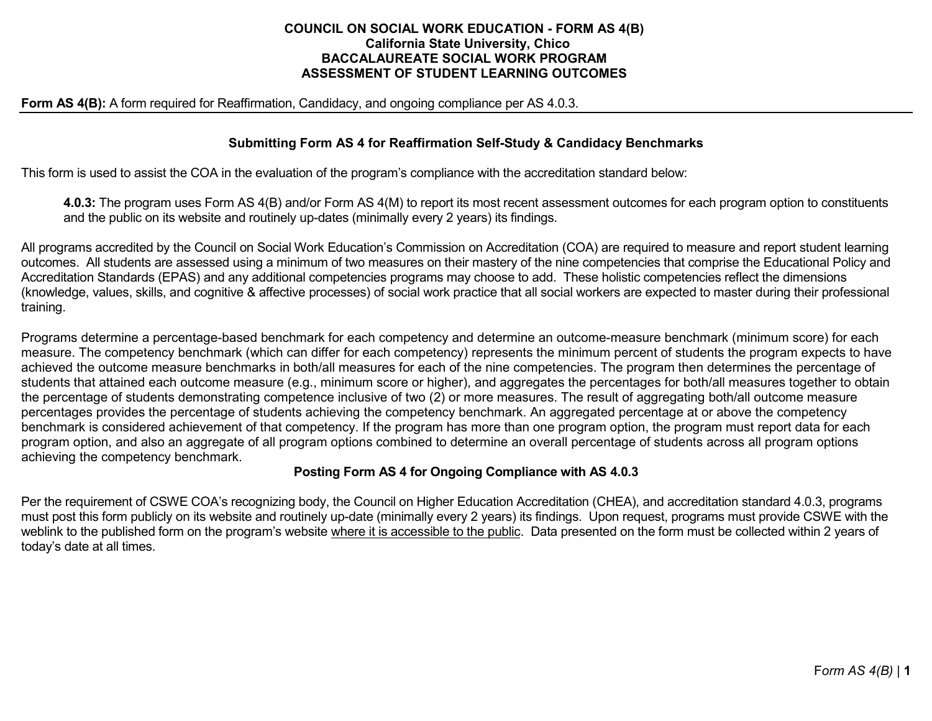#### **COUNCIL ON SOCIAL WORK EDUCATION - FORM AS 4(B) California State University, Chico BACCALAUREATE SOCIAL WORK PROGRAM ASSESSMENT OF STUDENT LEARNING OUTCOMES**

#### **Form AS 4(B):** A form required for Reaffirmation, Candidacy, and ongoing compliance per AS 4.0.3.

### **Submitting Form AS 4 for Reaffirmation Self-Study & Candidacy Benchmarks**

This form is used to assist the COA in the evaluation of the program's compliance with the accreditation standard below:

**4.0.3:** The program uses Form AS 4(B) and/or Form AS 4(M) to report its most recent assessment outcomes for each program option to constituents and the public on its website and routinely up-dates (minimally every 2 years) its findings.

All programs accredited by the Council on Social Work Education's Commission on Accreditation (COA) are required to measure and report student learning outcomes. All students are assessed using a minimum of two measures on their mastery of the nine competencies that comprise the Educational Policy and Accreditation Standards (EPAS) and any additional competencies programs may choose to add. These holistic competencies reflect the dimensions (knowledge, values, skills, and cognitive & affective processes) of social work practice that all social workers are expected to master during their professional training.

Programs determine a percentage-based benchmark for each competency and determine an outcome-measure benchmark (minimum score) for each measure. The competency benchmark (which can differ for each competency) represents the minimum percent of students the program expects to have achieved the outcome measure benchmarks in both/all measures for each of the nine competencies. The program then determines the percentage of students that attained each outcome measure (e.g., minimum score or higher), and aggregates the percentages for both/all measures together to obtain the percentage of students demonstrating competence inclusive of two (2) or more measures. The result of aggregating both/all outcome measure percentages provides the percentage of students achieving the competency benchmark. An aggregated percentage at or above the competency benchmark is considered achievement of that competency. If the program has more than one program option, the program must report data for each program option, and also an aggregate of all program options combined to determine an overall percentage of students across all program options achieving the competency benchmark.

### **Posting Form AS 4 for Ongoing Compliance with AS 4.0.3**

Per the requirement of CSWE COA's recognizing body, the Council on Higher Education Accreditation (CHEA), and accreditation standard 4.0.3, programs must post this form publicly on its website and routinely up-date (minimally every 2 years) its findings. Upon request, programs must provide CSWE with the weblink to the published form on the program's website where it is accessible to the public. Data presented on the form must be collected within 2 years of today's date at all times.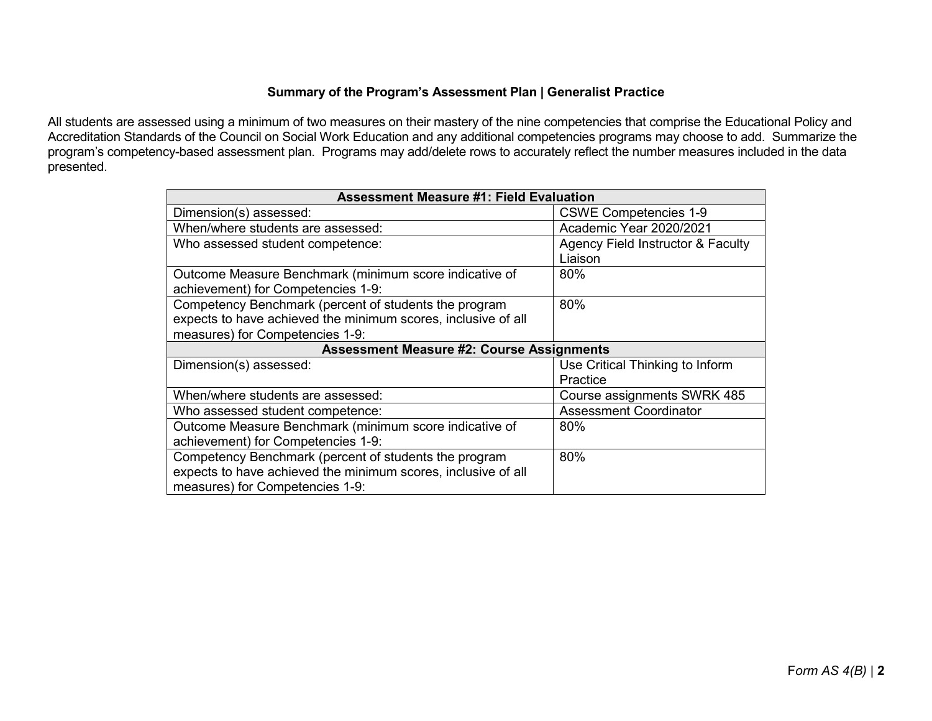# **Summary of the Program's Assessment Plan | Generalist Practice**

All students are assessed using a minimum of two measures on their mastery of the nine competencies that comprise the Educational Policy and Accreditation Standards of the Council on Social Work Education and any additional competencies programs may choose to add. Summarize the program's competency-based assessment plan. Programs may add/delete rows to accurately reflect the number measures included in the data presented.

| <b>Assessment Measure #1: Field Evaluation</b>                |                                   |  |  |  |  |
|---------------------------------------------------------------|-----------------------------------|--|--|--|--|
| Dimension(s) assessed:                                        | <b>CSWE Competencies 1-9</b>      |  |  |  |  |
| When/where students are assessed:                             | Academic Year 2020/2021           |  |  |  |  |
| Who assessed student competence:                              | Agency Field Instructor & Faculty |  |  |  |  |
|                                                               | Liaison                           |  |  |  |  |
| Outcome Measure Benchmark (minimum score indicative of        | 80%                               |  |  |  |  |
| achievement) for Competencies 1-9:                            |                                   |  |  |  |  |
| Competency Benchmark (percent of students the program         | 80%                               |  |  |  |  |
| expects to have achieved the minimum scores, inclusive of all |                                   |  |  |  |  |
| measures) for Competencies 1-9:                               |                                   |  |  |  |  |
| <b>Assessment Measure #2: Course Assignments</b>              |                                   |  |  |  |  |
| Dimension(s) assessed:                                        | Use Critical Thinking to Inform   |  |  |  |  |
|                                                               | Practice                          |  |  |  |  |
| When/where students are assessed:                             | Course assignments SWRK 485       |  |  |  |  |
| Who assessed student competence:                              | <b>Assessment Coordinator</b>     |  |  |  |  |
| Outcome Measure Benchmark (minimum score indicative of        | 80%                               |  |  |  |  |
|                                                               |                                   |  |  |  |  |
| achievement) for Competencies 1-9:                            |                                   |  |  |  |  |
| Competency Benchmark (percent of students the program         | 80%                               |  |  |  |  |
| expects to have achieved the minimum scores, inclusive of all |                                   |  |  |  |  |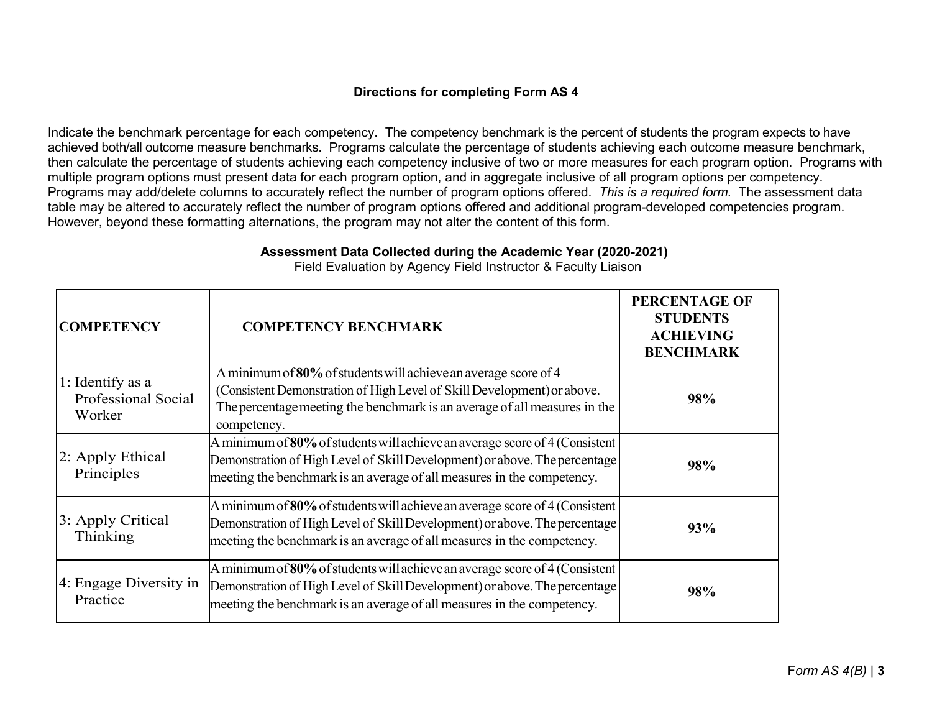# **Directions for completing Form AS 4**

Indicate the benchmark percentage for each competency. The competency benchmark is the percent of students the program expects to have achieved both/all outcome measure benchmarks. Programs calculate the percentage of students achieving each outcome measure benchmark, then calculate the percentage of students achieving each competency inclusive of two or more measures for each program option. Programs with multiple program options must present data for each program option, and in aggregate inclusive of all program options per competency. Programs may add/delete columns to accurately reflect the number of program options offered. *This is a required form.* The assessment data table may be altered to accurately reflect the number of program options offered and additional program-developed competencies program. However, beyond these formatting alternations, the program may not alter the content of this form.

| <b>COMPETENCY</b>                                 | <b>COMPETENCY BENCHMARK</b>                                                                                                                                                                                                            | <b>PERCENTAGE OF</b><br><b>STUDENTS</b><br><b>ACHIEVING</b><br><b>BENCHMARK</b> |
|---------------------------------------------------|----------------------------------------------------------------------------------------------------------------------------------------------------------------------------------------------------------------------------------------|---------------------------------------------------------------------------------|
| 1: Identify as a<br>Professional Social<br>Worker | A minimum of 80% of students will achieve an average score of 4<br>(Consistent Demonstration of High Level of Skill Development) or above.<br>The percentage meeting the benchmark is an average of all measures in the<br>competency. | 98%                                                                             |
| 2: Apply Ethical<br>Principles                    | A minimum of $80\%$ of students will achieve an average score of 4 (Consistent<br>Demonstration of High Level of Skill Development) or above. The percentage<br>meeting the benchmark is an average of all measures in the competency. | 98%                                                                             |
| 3: Apply Critical<br>Thinking                     | A minimum of 80% of students will achieve an average score of 4 (Consistent<br>Demonstration of High Level of Skill Development) or above. The percentage<br>meeting the benchmark is an average of all measures in the competency.    | 93%                                                                             |
| 4: Engage Diversity in<br>Practice                | A minimum of 80% of students will achieve an average score of 4 (Consistent<br>Demonstration of High Level of Skill Development) or above. The percentage<br>meeting the benchmark is an average of all measures in the competency.    | 98%                                                                             |

**Assessment Data Collected during the Academic Year (2020-2021)**

Field Evaluation by Agency Field Instructor & Faculty Liaison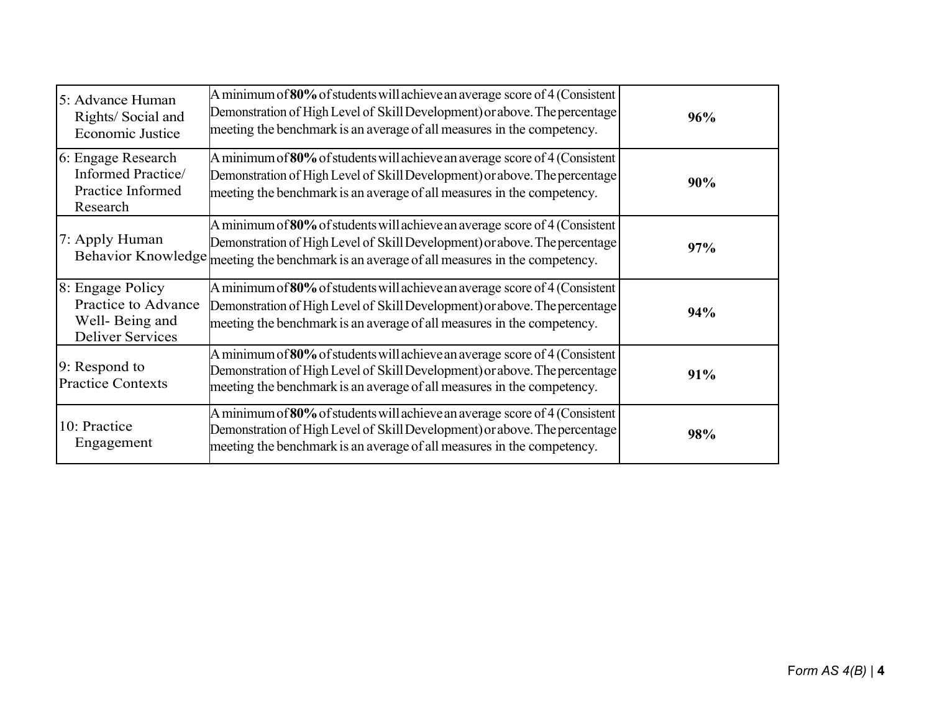| 5: Advance Human<br>Rights/Social and<br><b>Economic Justice</b>                     | A minimum of 80% of students will achieve an average score of 4 (Consistent<br>Demonstration of High Level of Skill Development) or above. The percentage<br>meeting the benchmark is an average of all measures in the competency.                    | 96% |
|--------------------------------------------------------------------------------------|--------------------------------------------------------------------------------------------------------------------------------------------------------------------------------------------------------------------------------------------------------|-----|
| 6: Engage Research<br>Informed Practice/<br>Practice Informed<br>Research            | A minimum of 80% of students will achieve an average score of 4 (Consistent<br>Demonstration of High Level of Skill Development) or above. The percentage<br>meeting the benchmark is an average of all measures in the competency.                    | 90% |
| 7: Apply Human                                                                       | A minimum of 80% of students will achieve an average score of 4 (Consistent<br>Demonstration of High Level of Skill Development) or above. The percentage<br>Behavior Knowledge meeting the benchmark is an average of all measures in the competency. | 97% |
| 8: Engage Policy<br>Practice to Advance<br>Well-Being and<br><b>Deliver Services</b> | A minimum of 80% of students will achieve an average score of 4 (Consistent<br>Demonstration of High Level of Skill Development) or above. The percentage<br>meeting the benchmark is an average of all measures in the competency.                    | 94% |
| 9: Respond to<br><b>Practice Contexts</b>                                            | A minimum of $80\%$ of students will achieve an average score of 4 (Consistent<br>Demonstration of High Level of Skill Development) or above. The percentage<br>meeting the benchmark is an average of all measures in the competency.                 | 91% |
| 10: Practice<br>Engagement                                                           | A minimum of $80\%$ of students will achieve an average score of 4 (Consistent<br>Demonstration of High Level of Skill Development) or above. The percentage<br>meeting the benchmark is an average of all measures in the competency.                 | 98% |